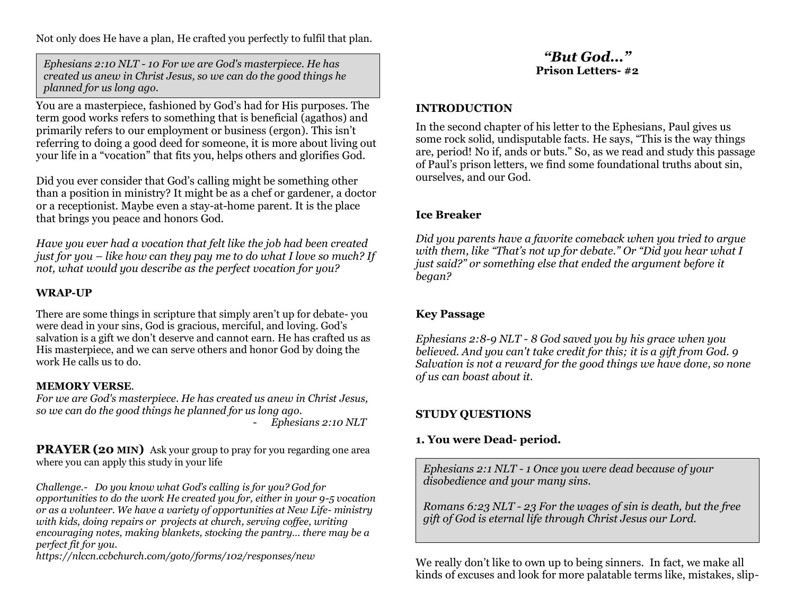Not only does He have a plan, He crafted you perfectly to fulfil that plan.

*Ephesians 2:10 NLT - 10 For we are God's masterpiece. He has created us anew in Christ Jesus, so we can do the good things he planned for us long ago.*

You are a masterpiece, fashioned by God's had for His purposes. The term good works refers to something that is beneficial (agathos) and primarily refers to our employment or business (ergon). This isn't referring to doing a good deed for someone, it is more about living out your life in a "vocation" that fits you, helps others and glorifies God.

Did you ever consider that God's calling might be something other than a position in ministry? It might be as a chef or gardener, a doctor or a receptionist. Maybe even a stay-at-home parent. It is the place that brings you peace and honors God.

*Have you ever had a vocation that felt like the job had been created just for you – like how can they pay me to do what I love so much? If not, what would you describe as the perfect vocation for you?*

### **WRAP-UP**

There are some things in scripture that simply aren't up for debate- you were dead in your sins, God is gracious, merciful, and loving. God's salvation is a gift we don't deserve and cannot earn. He has crafted us as His masterpiece, and we can serve others and honor God by doing the work He calls us to do.

#### **MEMORY VERSE***.*

*For we are God's masterpiece. He has created us anew in Christ Jesus, so we can do the good things he planned for us long ago.* - *Ephesians 2:10 NLT*

**PRAYER (20 MIN)** Ask your group to pray for you regarding one area where you can apply this study in your life

*Challenge.- Do you know what God's calling is for you? God for opportunities to do the work He created you for, either in your 9-5 vocation or as a volunteer. We have a variety of opportunities at New Life- ministry with kids, doing repairs or projects at church, serving coffee, writing encouraging notes, making blankets, stocking the pantry… there may be a perfect fit for you.*

*https://nlccn.ccbchurch.com/goto/forms/102/responses/new*

# *"But God…"* **Prison Letters- #2**

#### **INTRODUCTION**

In the second chapter of his letter to the Ephesians, Paul gives us some rock solid, undisputable facts. He says, "This is the way things are, period! No if, ands or buts." So, as we read and study this passage of Paul's prison letters, we find some foundational truths about sin, ourselves, and our God.

### **Ice Breaker**

*Did you parents have a favorite comeback when you tried to argue with them, like "That's not up for debate." Or "Did you hear what I just said?" or something else that ended the argument before it began?*

## **Key Passage**

*Ephesians 2:8-9 NLT - 8 God saved you by his grace when you believed. And you can't take credit for this; it is a gift from God. 9 Salvation is not a reward for the good things we have done, so none of us can boast about it.*

# **STUDY QUESTIONS**

## **1. You were Dead- period.**

*Ephesians 2:1 NLT - 1 Once you were dead because of your disobedience and your many sins.*

*Romans 6:23 NLT - 23 For the wages of sin is death, but the free gift of God is eternal life through Christ Jesus our Lord.*

We really don't like to own up to being sinners. In fact, we make all kinds of excuses and look for more palatable terms like, mistakes, slip